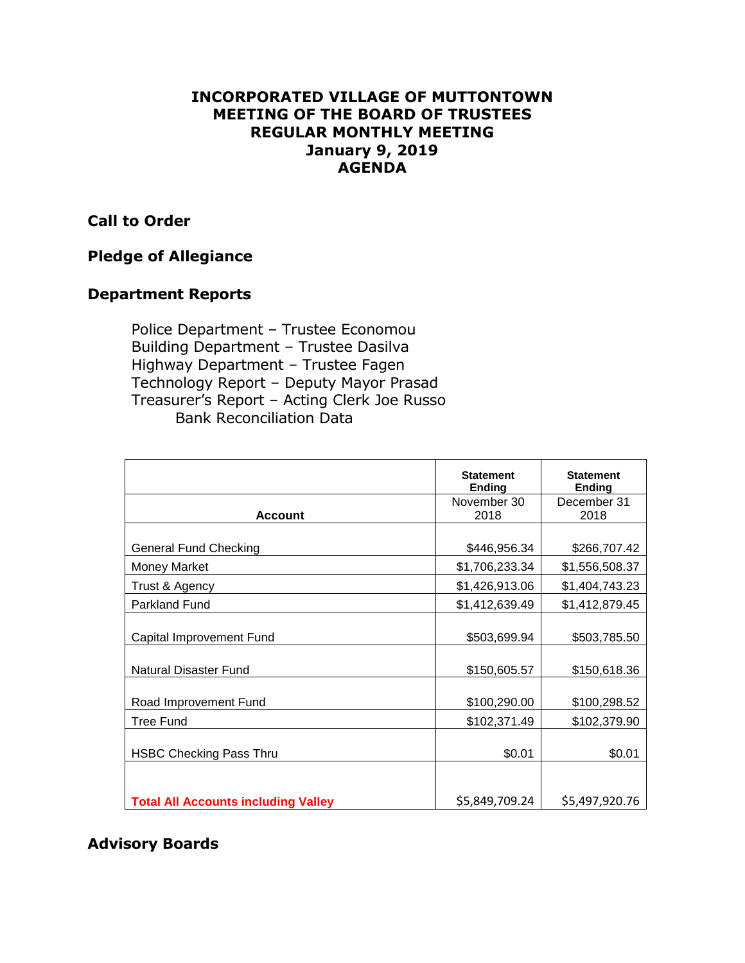## **INCORPORATED VILLAGE OF MUTTONTOWN MEETING OF THE BOARD OF TRUSTEES REGULAR MONTHLY MEETING January 9, 2019 AGENDA**

#### **Call to Order**

## **Pledge of Allegiance**

#### **Department Reports**

Police Department – Trustee Economou Building Department – Trustee Dasilva Highway Department – Trustee Fagen Technology Report – Deputy Mayor Prasad Treasurer's Report – Acting Clerk Joe Russo Bank Reconciliation Data

|                                            | <b>Statement</b><br><b>Ending</b> | <b>Statement</b><br><b>Ending</b> |
|--------------------------------------------|-----------------------------------|-----------------------------------|
| <b>Account</b>                             | November 30<br>2018               | December 31<br>2018               |
|                                            |                                   |                                   |
| General Fund Checking                      | \$446,956.34                      | \$266,707.42                      |
| <b>Money Market</b>                        | \$1,706,233.34                    | \$1,556,508.37                    |
| Trust & Agency                             | \$1,426,913.06                    | \$1,404,743.23                    |
| <b>Parkland Fund</b>                       | \$1,412,639.49                    | \$1,412,879.45                    |
| Capital Improvement Fund                   | \$503,699.94                      | \$503,785.50                      |
| Natural Disaster Fund                      | \$150,605.57                      | \$150,618.36                      |
| Road Improvement Fund                      | \$100,290.00                      | \$100,298.52                      |
| <b>Tree Fund</b>                           | \$102,371.49                      | \$102,379.90                      |
| <b>HSBC Checking Pass Thru</b>             | \$0.01                            | \$0.01                            |
|                                            |                                   |                                   |
| <b>Total All Accounts including Valley</b> | \$5,849,709.24                    | \$5,497,920.76                    |

# **Advisory Boards**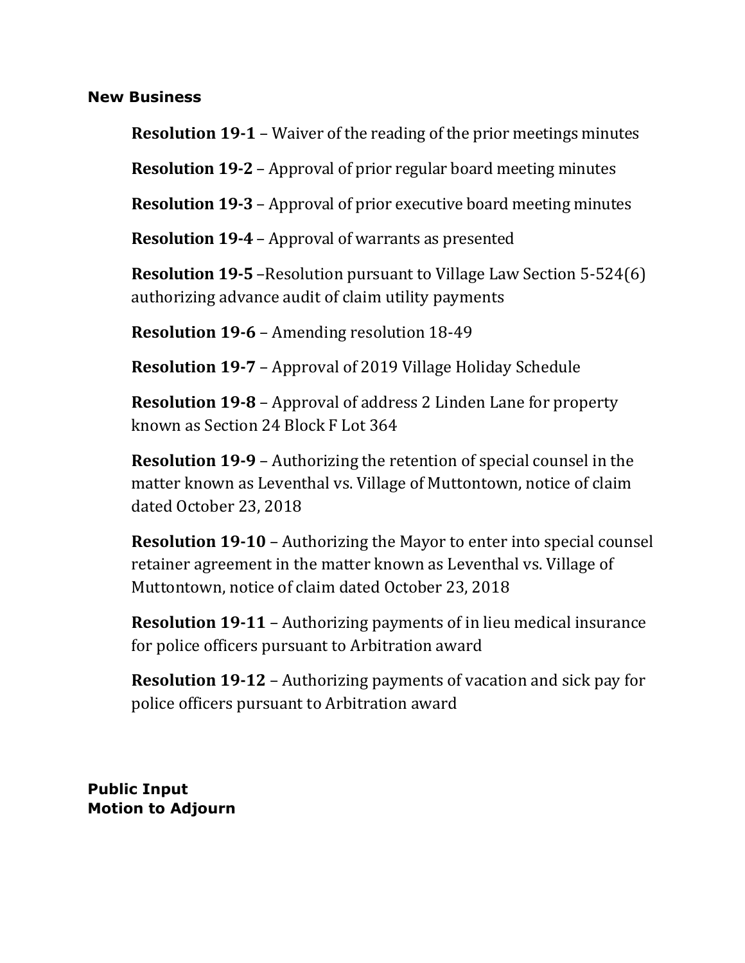#### **New Business**

**Resolution 19-1** – Waiver of the reading of the prior meetings minutes

**Resolution 19-2** – Approval of prior regular board meeting minutes

**Resolution 19-3** – Approval of prior executive board meeting minutes

**Resolution 19-4** – Approval of warrants as presented

**Resolution 19-5** –Resolution pursuant to Village Law Section 5-524(6) authorizing advance audit of claim utility payments

**Resolution 19-6** – Amending resolution 18-49

**Resolution 19-7** – Approval of 2019 Village Holiday Schedule

**Resolution 19-8** – Approval of address 2 Linden Lane for property known as Section 24 Block F Lot 364

**Resolution 19-9** – Authorizing the retention of special counsel in the matter known as Leventhal vs. Village of Muttontown, notice of claim dated October 23, 2018

**Resolution 19-10** – Authorizing the Mayor to enter into special counsel retainer agreement in the matter known as Leventhal vs. Village of Muttontown, notice of claim dated October 23, 2018

**Resolution 19-11** – Authorizing payments of in lieu medical insurance for police officers pursuant to Arbitration award

**Resolution 19-12** – Authorizing payments of vacation and sick pay for police officers pursuant to Arbitration award

**Public Input Motion to Adjourn**